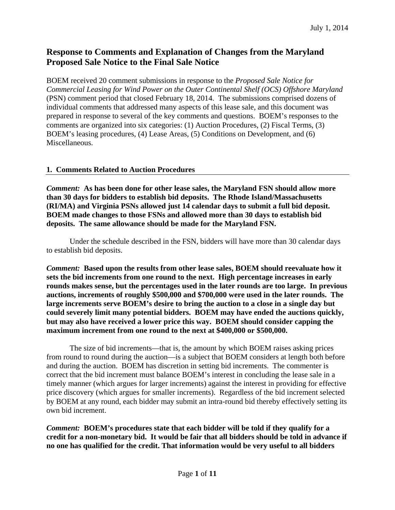# **Response to Comments and Explanation of Changes from the Maryland Proposed Sale Notice to the Final Sale Notice**

BOEM received 20 comment submissions in response to the *Proposed Sale Notice for Commercial Leasing for Wind Power on the Outer Continental Shelf (OCS) Offshore Maryland*  (PSN) comment period that closed February 18, 2014. The submissions comprised dozens of individual comments that addressed many aspects of this lease sale, and this document was prepared in response to several of the key comments and questions. BOEM's responses to the comments are organized into six categories: (1) Auction Procedures, (2) Fiscal Terms, (3) BOEM's leasing procedures, (4) Lease Areas, (5) Conditions on Development, and (6) Miscellaneous.

#### **1. Comments Related to Auction Procedures**

*Comment:* **As has been done for other lease sales, the Maryland FSN should allow more than 30 days for bidders to establish bid deposits. The Rhode Island/Massachusetts (RI/MA) and Virginia PSNs allowed just 14 calendar days to submit a full bid deposit. BOEM made changes to those FSNs and allowed more than 30 days to establish bid deposits. The same allowance should be made for the Maryland FSN.**

 Under the schedule described in the FSN, bidders will have more than 30 calendar days to establish bid deposits.

*Comment:* **Based upon the results from other lease sales, BOEM should reevaluate how it sets the bid increments from one round to the next. High percentage increases in early rounds makes sense, but the percentages used in the later rounds are too large. In previous auctions, increments of roughly \$500,000 and \$700,000 were used in the later rounds. The large increments serve BOEM's desire to bring the auction to a close in a single day but could severely limit many potential bidders. BOEM may have ended the auctions quickly, but may also have received a lower price this way. BOEM should consider capping the maximum increment from one round to the next at \$400,000 or \$500,000.** 

 The size of bid increments—that is, the amount by which BOEM raises asking prices from round to round during the auction—is a subject that BOEM considers at length both before and during the auction. BOEM has discretion in setting bid increments. The commenter is correct that the bid increment must balance BOEM's interest in concluding the lease sale in a timely manner (which argues for larger increments) against the interest in providing for effective price discovery (which argues for smaller increments). Regardless of the bid increment selected by BOEM at any round, each bidder may submit an intra-round bid thereby effectively setting its own bid increment.

*Comment:* **BOEM's procedures state that each bidder will be told if they qualify for a credit for a non-monetary bid. It would be fair that all bidders should be told in advance if no one has qualified for the credit. That information would be very useful to all bidders**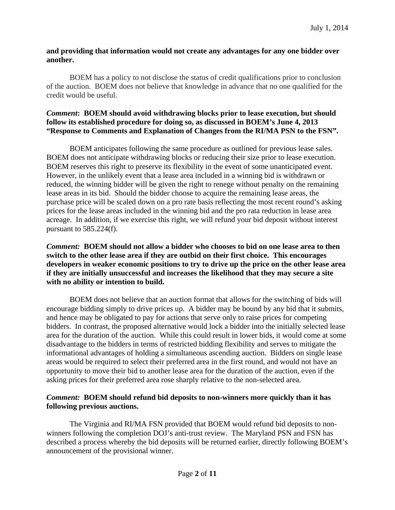## **and providing that information would not create any advantages for any one bidder over another.**

BOEM has a policy to not disclose the status of credit qualifications prior to conclusion of the auction. BOEM does not believe that knowledge in advance that no one qualified for the credit would be useful.

#### *Comment***: BOEM should avoid withdrawing blocks prior to lease execution, but should follow its established procedure for doing so, as discussed in BOEM's June 4, 2013 "Response to Comments and Explanation of Changes from the RI/MA PSN to the FSN".**

 BOEM anticipates following the same procedure as outlined for previous lease sales. BOEM does not anticipate withdrawing blocks or reducing their size prior to lease execution. BOEM reserves this right to preserve its flexibility in the event of some unanticipated event. However, in the unlikely event that a lease area included in a winning bid is withdrawn or reduced, the winning bidder will be given the right to renege without penalty on the remaining lease areas in its bid. Should the bidder choose to acquire the remaining lease areas, the purchase price will be scaled down on a pro rate basis reflecting the most recent round's asking prices for the lease areas included in the winning bid and the pro rata reduction in lease area acreage. In addition, if we exercise this right, we will refund your bid deposit without interest pursuant to 585.224(f).

# *Comment:* **BOEM should not allow a bidder who chooses to bid on one lease area to then switch to the other lease area if they are outbid on their first choice. This encourages developers in weaker economic positions to try to drive up the price on the other lease area if they are initially unsuccessful and increases the likelihood that they may secure a site with no ability or intention to build.**

BOEM does not believe that an auction format that allows for the switching of bids will encourage bidding simply to drive prices up. A bidder may be bound by any bid that it submits, and hence may be obligated to pay for actions that serve only to raise prices for competing bidders. In contrast, the proposed alternative would lock a bidder into the initially selected lease area for the duration of the auction. While this could result in lower bids, it would come at some disadvantage to the bidders in terms of restricted bidding flexibility and serves to mitigate the informational advantages of holding a simultaneous ascending auction. Bidders on single lease areas would be required to select their preferred area in the first round, and would not have an opportunity to move their bid to another lease area for the duration of the auction, even if the asking prices for their preferred area rose sharply relative to the non-selected area.

# *Comment:* **BOEM should refund bid deposits to non-winners more quickly than it has following previous auctions.**

The Virginia and RI/MA FSN provided that BOEM would refund bid deposits to nonwinners following the completion DOJ's anti-trust review. The Maryland PSN and FSN has described a process whereby the bid deposits will be returned earlier, directly following BOEM's announcement of the provisional winner.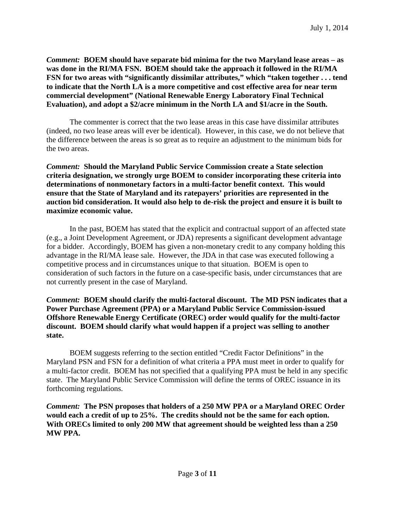*Comment:* **BOEM should have separate bid minima for the two Maryland lease areas – as was done in the RI/MA FSN. BOEM should take the approach it followed in the RI/MA FSN for two areas with "significantly dissimilar attributes," which "taken together . . . tend to indicate that the North LA is a more competitive and cost effective area for near term commercial development" (National Renewable Energy Laboratory Final Technical Evaluation), and adopt a \$2/acre minimum in the North LA and \$1/acre in the South.** 

The commenter is correct that the two lease areas in this case have dissimilar attributes (indeed, no two lease areas will ever be identical). However, in this case, we do not believe that the difference between the areas is so great as to require an adjustment to the minimum bids for the two areas.

*Comment:* **Should the Maryland Public Service Commission create a State selection criteria designation, we strongly urge BOEM to consider incorporating these criteria into determinations of nonmonetary factors in a multi-factor benefit context. This would ensure that the State of Maryland and its ratepayers' priorities are represented in the auction bid consideration. It would also help to de-risk the project and ensure it is built to maximize economic value.** 

In the past, BOEM has stated that the explicit and contractual support of an affected state (e.g., a Joint Development Agreement, or JDA) represents a significant development advantage for a bidder. Accordingly, BOEM has given a non-monetary credit to any company holding this advantage in the RI/MA lease sale. However, the JDA in that case was executed following a competitive process and in circumstances unique to that situation. BOEM is open to consideration of such factors in the future on a case-specific basis, under circumstances that are not currently present in the case of Maryland.

*Comment:* **BOEM should clarify the multi-factoral discount. The MD PSN indicates that a Power Purchase Agreement (PPA) or a Maryland Public Service Commission-issued Offshore Renewable Energy Certificate (OREC) order would qualify for the multi-factor discount. BOEM should clarify what would happen if a project was selling to another state.** 

 BOEM suggests referring to the section entitled "Credit Factor Definitions" in the Maryland PSN and FSN for a definition of what criteria a PPA must meet in order to qualify for a multi-factor credit. BOEM has not specified that a qualifying PPA must be held in any specific state. The Maryland Public Service Commission will define the terms of OREC issuance in its forthcoming regulations.

*Comment:* **The PSN proposes that holders of a 250 MW PPA or a Maryland OREC Order would each a credit of up to 25%. The credits should not be the same for each option. With ORECs limited to only 200 MW that agreement should be weighted less than a 250 MW PPA.**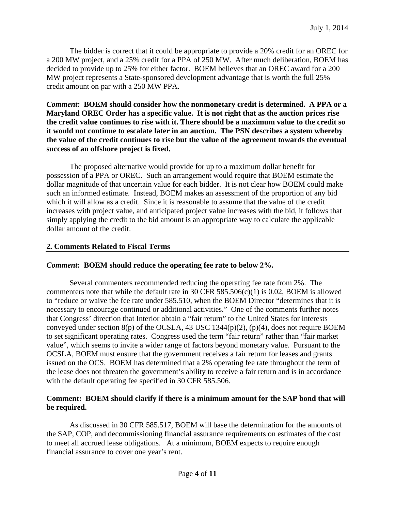The bidder is correct that it could be appropriate to provide a 20% credit for an OREC for a 200 MW project, and a 25% credit for a PPA of 250 MW. After much deliberation, BOEM has decided to provide up to 25% for either factor. BOEM believes that an OREC award for a 200 MW project represents a State-sponsored development advantage that is worth the full 25% credit amount on par with a 250 MW PPA.

*Comment:* **BOEM should consider how the nonmonetary credit is determined. A PPA or a Maryland OREC Order has a specific value. It is not right that as the auction prices rise the credit value continues to rise with it. There should be a maximum value to the credit so it would not continue to escalate later in an auction. The PSN describes a system whereby the value of the credit continues to rise but the value of the agreement towards the eventual success of an offshore project is fixed.** 

 The proposed alternative would provide for up to a maximum dollar benefit for possession of a PPA or OREC. Such an arrangement would require that BOEM estimate the dollar magnitude of that uncertain value for each bidder. It is not clear how BOEM could make such an informed estimate. Instead, BOEM makes an assessment of the proportion of any bid which it will allow as a credit. Since it is reasonable to assume that the value of the credit increases with project value, and anticipated project value increases with the bid, it follows that simply applying the credit to the bid amount is an appropriate way to calculate the applicable dollar amount of the credit.

## **2. Comments Related to Fiscal Terms**

#### *Comment***: BOEM should reduce the operating fee rate to below 2%.**

 Several commenters recommended reducing the operating fee rate from 2%. The commenters note that while the default rate in 30 CFR 585.506(c)(1) is 0.02, BOEM is allowed to "reduce or waive the fee rate under 585.510, when the BOEM Director "determines that it is necessary to encourage continued or additional activities." One of the comments further notes that Congress' direction that Interior obtain a "fair return" to the United States for interests conveyed under section  $8(p)$  of the OCSLA, 43 USC 1344 $(p)(2)$ ,  $(p)(4)$ , does not require BOEM to set significant operating rates. Congress used the term "fair return" rather than "fair market value", which seems to invite a wider range of factors beyond monetary value. Pursuant to the OCSLA, BOEM must ensure that the government receives a fair return for leases and grants issued on the OCS. BOEM has determined that a 2% operating fee rate throughout the term of the lease does not threaten the government's ability to receive a fair return and is in accordance with the default operating fee specified in 30 CFR 585.506.

# **Comment: BOEM should clarify if there is a minimum amount for the SAP bond that will be required.**

 As discussed in 30 CFR 585.517, BOEM will base the determination for the amounts of the SAP, COP, and decommissioning financial assurance requirements on estimates of the cost to meet all accrued lease obligations. At a minimum, BOEM expects to require enough financial assurance to cover one year's rent.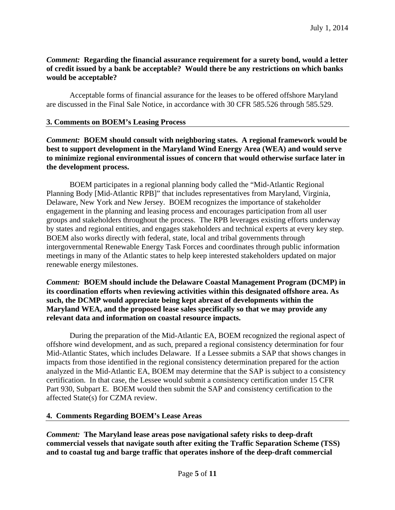# *Comment:* **Regarding the financial assurance requirement for a surety bond, would a letter of credit issued by a bank be acceptable? Would there be any restrictions on which banks would be acceptable?**

 Acceptable forms of financial assurance for the leases to be offered offshore Maryland are discussed in the Final Sale Notice, in accordance with 30 CFR 585.526 through 585.529.

#### **3. Comments on BOEM's Leasing Process**

*Comment:* **BOEM should consult with neighboring states. A regional framework would be best to support development in the Maryland Wind Energy Area (WEA) and would serve to minimize regional environmental issues of concern that would otherwise surface later in the development process.** 

BOEM participates in a regional planning body called the "Mid-Atlantic Regional Planning Body [Mid-Atlantic RPB]" that includes representatives from Maryland, Virginia, Delaware, New York and New Jersey. BOEM recognizes the importance of stakeholder engagement in the planning and leasing process and encourages participation from all user groups and stakeholders throughout the process. The RPB leverages existing efforts underway by states and regional entities, and engages stakeholders and technical experts at every key step. BOEM also works directly with federal, state, local and tribal governments through intergovernmental Renewable Energy Task Forces and coordinates through public information meetings in many of the Atlantic states to help keep interested stakeholders updated on major renewable energy milestones.

*Comment:* **BOEM should include the Delaware Coastal Management Program (DCMP) in its coordination efforts when reviewing activities within this designated offshore area. As such, the DCMP would appreciate being kept abreast of developments within the Maryland WEA, and the proposed lease sales specifically so that we may provide any relevant data and information on coastal resource impacts.** 

 During the preparation of the Mid-Atlantic EA, BOEM recognized the regional aspect of offshore wind development, and as such, prepared a regional consistency determination for four Mid-Atlantic States, which includes Delaware. If a Lessee submits a SAP that shows changes in impacts from those identified in the regional consistency determination prepared for the action analyzed in the Mid-Atlantic EA, BOEM may determine that the SAP is subject to a consistency certification. In that case, the Lessee would submit a consistency certification under 15 CFR Part 930, Subpart E. BOEM would then submit the SAP and consistency certification to the affected State(s) for CZMA review.

#### **4. Comments Regarding BOEM's Lease Areas**

*Comment:* **The Maryland lease areas pose navigational safety risks to deep-draft commercial vessels that navigate south after exiting the Traffic Separation Scheme (TSS) and to coastal tug and barge traffic that operates inshore of the deep-draft commercial**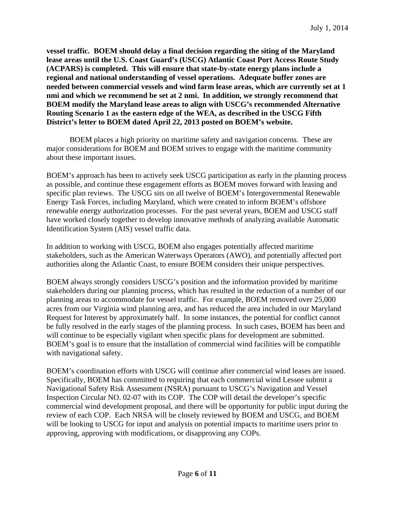**vessel traffic. BOEM should delay a final decision regarding the siting of the Maryland lease areas until the U.S. Coast Guard's (USCG) Atlantic Coast Port Access Route Study (ACPARS) is completed. This will ensure that state-by-state energy plans include a regional and national understanding of vessel operations. Adequate buffer zones are needed between commercial vessels and wind farm lease areas, which are currently set at 1 nmi and which we recommend be set at 2 nmi. In addition, we strongly recommend that BOEM modify the Maryland lease areas to align with USCG's recommended Alternative Routing Scenario 1 as the eastern edge of the WEA, as described in the USCG Fifth District's letter to BOEM dated April 22, 2013 posted on BOEM's website.** 

BOEM places a high priority on maritime safety and navigation concerns. These are major considerations for BOEM and BOEM strives to engage with the maritime community about these important issues.

BOEM's approach has been to actively seek USCG participation as early in the planning process as possible, and continue these engagement efforts as BOEM moves forward with leasing and specific plan reviews. The USCG sits on all twelve of BOEM's Intergovernmental Renewable Energy Task Forces, including Maryland, which were created to inform BOEM's offshore renewable energy authorization processes. For the past several years, BOEM and USCG staff have worked closely together to develop innovative methods of analyzing available Automatic Identification System (AIS) vessel traffic data.

In addition to working with USCG, BOEM also engages potentially affected maritime stakeholders, such as the American Waterways Operators (AWO), and potentially affected port authorities along the Atlantic Coast, to ensure BOEM considers their unique perspectives.

BOEM always strongly considers USCG's position and the information provided by maritime stakeholders during our planning process, which has resulted in the reduction of a number of our planning areas to accommodate for vessel traffic. For example, BOEM removed over 25,000 acres from our Virginia wind planning area, and has reduced the area included in our Maryland Request for Interest by approximately half. In some instances, the potential for conflict cannot be fully resolved in the early stages of the planning process. In such cases, BOEM has been and will continue to be especially vigilant when specific plans for development are submitted. BOEM's goal is to ensure that the installation of commercial wind facilities will be compatible with navigational safety.

BOEM's coordination efforts with USCG will continue after commercial wind leases are issued. Specifically, BOEM has committed to requiring that each commercial wind Lessee submit a Navigational Safety Risk Assessment (NSRA) pursuant to USCG's Navigation and Vessel Inspection Circular NO. 02-07 with its COP. The COP will detail the developer's specific commercial wind development proposal, and there will be opportunity for public input during the review of each COP. Each NRSA will be closely reviewed by BOEM and USCG, and BOEM will be looking to USCG for input and analysis on potential impacts to maritime users prior to approving, approving with modifications, or disapproving any COPs.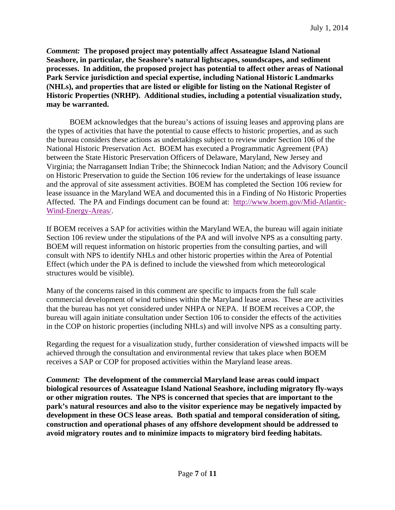*Comment:* **The proposed project may potentially affect Assateague Island National Seashore, in particular, the Seashore's natural lightscapes, soundscapes, and sediment processes. In addition, the proposed project has potential to affect other areas of National Park Service jurisdiction and special expertise, including National Historic Landmarks (NHLs), and properties that are listed or eligible for listing on the National Register of Historic Properties (NRHP). Additional studies, including a potential visualization study, may be warranted.** 

BOEM acknowledges that the bureau's actions of issuing leases and approving plans are the types of activities that have the potential to cause effects to historic properties, and as such the bureau considers these actions as undertakings subject to review under Section 106 of the National Historic Preservation Act. BOEM has executed a Programmatic Agreement (PA) between the State Historic Preservation Officers of Delaware, Maryland, New Jersey and Virginia; the Narragansett Indian Tribe; the Shinnecock Indian Nation; and the Advisory Council on Historic Preservation to guide the Section 106 review for the undertakings of lease issuance and the approval of site assessment activities. BOEM has completed the Section 106 review for lease issuance in the Maryland WEA and documented this in a Finding of No Historic Properties Affected. The PA and Findings document can be found at: http://www.boem.gov/Mid-Atlantic-Wind-Energy-Areas/.

If BOEM receives a SAP for activities within the Maryland WEA, the bureau will again initiate Section 106 review under the stipulations of the PA and will involve NPS as a consulting party. BOEM will request information on historic properties from the consulting parties, and will consult with NPS to identify NHLs and other historic properties within the Area of Potential Effect (which under the PA is defined to include the viewshed from which meteorological structures would be visible).

Many of the concerns raised in this comment are specific to impacts from the full scale commercial development of wind turbines within the Maryland lease areas. These are activities that the bureau has not yet considered under NHPA or NEPA. If BOEM receives a COP, the bureau will again initiate consultation under Section 106 to consider the effects of the activities in the COP on historic properties (including NHLs) and will involve NPS as a consulting party.

Regarding the request for a visualization study, further consideration of viewshed impacts will be achieved through the consultation and environmental review that takes place when BOEM receives a SAP or COP for proposed activities within the Maryland lease areas.

*Comment:* **The development of the commercial Maryland lease areas could impact biological resources of Assateague Island National Seashore, including migratory fly-ways or other migration routes. The NPS is concerned that species that are important to the park's natural resources and also to the visitor experience may be negatively impacted by development in these OCS lease areas. Both spatial and temporal consideration of siting, construction and operational phases of any offshore development should be addressed to avoid migratory routes and to minimize impacts to migratory bird feeding habitats.**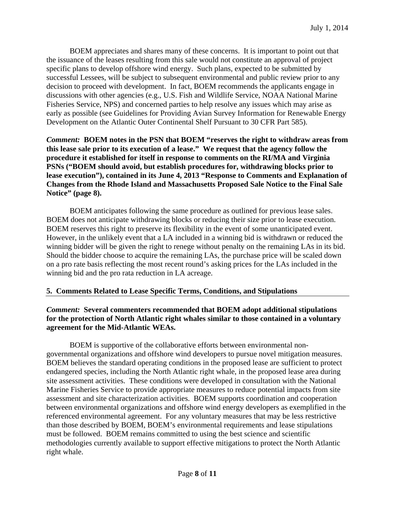BOEM appreciates and shares many of these concerns. It is important to point out that the issuance of the leases resulting from this sale would not constitute an approval of project specific plans to develop offshore wind energy. Such plans, expected to be submitted by successful Lessees, will be subject to subsequent environmental and public review prior to any decision to proceed with development. In fact, BOEM recommends the applicants engage in discussions with other agencies (e.g., U.S. Fish and Wildlife Service, NOAA National Marine Fisheries Service, NPS) and concerned parties to help resolve any issues which may arise as early as possible (see Guidelines for Providing Avian Survey Information for Renewable Energy Development on the Atlantic Outer Continental Shelf Pursuant to 30 CFR Part 585).

*Comment:* **BOEM notes in the PSN that BOEM "reserves the right to withdraw areas from this lease sale prior to its execution of a lease." We request that the agency follow the procedure it established for itself in response to comments on the RI/MA and Virginia PSNs ("BOEM should avoid, but establish procedures for, withdrawing blocks prior to lease execution"), contained in its June 4, 2013 "Response to Comments and Explanation of Changes from the Rhode Island and Massachusetts Proposed Sale Notice to the Final Sale Notice" (page 8).** 

 BOEM anticipates following the same procedure as outlined for previous lease sales. BOEM does not anticipate withdrawing blocks or reducing their size prior to lease execution. BOEM reserves this right to preserve its flexibility in the event of some unanticipated event. However, in the unlikely event that a LA included in a winning bid is withdrawn or reduced the winning bidder will be given the right to renege without penalty on the remaining LAs in its bid. Should the bidder choose to acquire the remaining LAs, the purchase price will be scaled down on a pro rate basis reflecting the most recent round's asking prices for the LAs included in the winning bid and the pro rata reduction in LA acreage.

# **5. Comments Related to Lease Specific Terms, Conditions, and Stipulations**

# *Comment:* **Several commenters recommended that BOEM adopt additional stipulations for the protection of North Atlantic right whales similar to those contained in a voluntary agreement for the Mid-Atlantic WEAs.**

 BOEM is supportive of the collaborative efforts between environmental nongovernmental organizations and offshore wind developers to pursue novel mitigation measures. BOEM believes the standard operating conditions in the proposed lease are sufficient to protect endangered species, including the North Atlantic right whale, in the proposed lease area during site assessment activities. These conditions were developed in consultation with the National Marine Fisheries Service to provide appropriate measures to reduce potential impacts from site assessment and site characterization activities. BOEM supports coordination and cooperation between environmental organizations and offshore wind energy developers as exemplified in the referenced environmental agreement. For any voluntary measures that may be less restrictive than those described by BOEM, BOEM's environmental requirements and lease stipulations must be followed. BOEM remains committed to using the best science and scientific methodologies currently available to support effective mitigations to protect the North Atlantic right whale.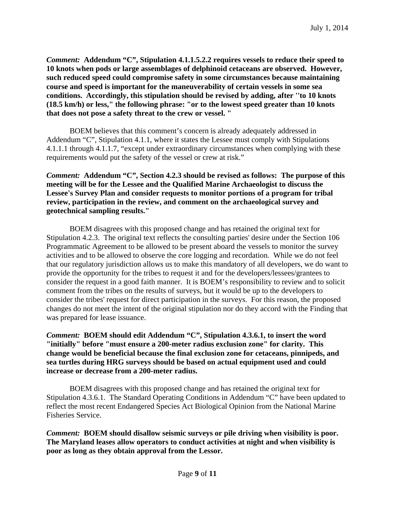*Comment:* **Addendum "C", Stipulation 4.1.1.5.2.2 requires vessels to reduce their speed to 10 knots when pods or large assemblages of delphinoid cetaceans are observed. However, such reduced speed could compromise safety in some circumstances because maintaining course and speed is important for the maneuverability of certain vessels in some sea conditions. Accordingly, this stipulation should be revised by adding, after ''to 10 knots (18.5 km/h) or less," the following phrase: "or to the lowest speed greater than 10 knots that does not pose a safety threat to the crew or vessel. "** 

BOEM believes that this comment's concern is already adequately addressed in Addendum "C", Stipulation 4.1.1, where it states the Lessee must comply with Stipulations 4.1.1.1 through 4.1.1.7, "except under extraordinary circumstances when complying with these requirements would put the safety of the vessel or crew at risk."

*Comment:* **Addendum "C", Section 4.2.3 should be revised as follows: The purpose of this meeting will be for the Lessee and the Qualified Marine Archaeologist to discuss the Lessee's Survey Plan and consider requests to monitor portions of a program for tribal review, participation in the review, and comment on the archaeological survey and geotechnical sampling results."** 

 BOEM disagrees with this proposed change and has retained the original text for Stipulation 4.2.3. The original text reflects the consulting parties' desire under the Section 106 Programmatic Agreement to be allowed to be present aboard the vessels to monitor the survey activities and to be allowed to observe the core logging and recordation. While we do not feel that our regulatory jurisdiction allows us to make this mandatory of all developers, we do want to provide the opportunity for the tribes to request it and for the developers/lessees/grantees to consider the request in a good faith manner. It is BOEM's responsibility to review and to solicit comment from the tribes on the results of surveys, but it would be up to the developers to consider the tribes' request for direct participation in the surveys. For this reason, the proposed changes do not meet the intent of the original stipulation nor do they accord with the Finding that was prepared for lease issuance.

*Comment:* **BOEM should edit Addendum "C", Stipulation 4.3.6.1, to insert the word "initially" before "must ensure a 200-meter radius exclusion zone" for clarity. This change would be beneficial because the final exclusion zone for cetaceans, pinnipeds, and sea turtles during HRG surveys should be based on actual equipment used and could increase or decrease from a 200-meter radius.** 

BOEM disagrees with this proposed change and has retained the original text for Stipulation 4.3.6.1. The Standard Operating Conditions in Addendum "C" have been updated to reflect the most recent Endangered Species Act Biological Opinion from the National Marine Fisheries Service.

*Comment:* **BOEM should disallow seismic surveys or pile driving when visibility is poor. The Maryland leases allow operators to conduct activities at night and when visibility is poor as long as they obtain approval from the Lessor.**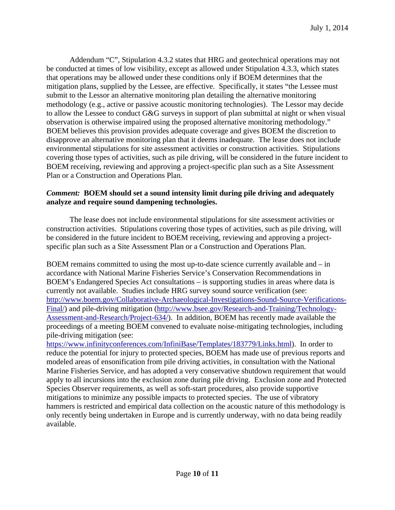Addendum "C", Stipulation 4.3.2 states that HRG and geotechnical operations may not be conducted at times of low visibility, except as allowed under Stipulation 4.3.3, which states that operations may be allowed under these conditions only if BOEM determines that the mitigation plans, supplied by the Lessee, are effective. Specifically, it states "the Lessee must submit to the Lessor an alternative monitoring plan detailing the alternative monitoring methodology (e.g., active or passive acoustic monitoring technologies). The Lessor may decide to allow the Lessee to conduct G&G surveys in support of plan submittal at night or when visual observation is otherwise impaired using the proposed alternative monitoring methodology." BOEM believes this provision provides adequate coverage and gives BOEM the discretion to disapprove an alternative monitoring plan that it deems inadequate. The lease does not include environmental stipulations for site assessment activities or construction activities. Stipulations covering those types of activities, such as pile driving, will be considered in the future incident to BOEM receiving, reviewing and approving a project-specific plan such as a Site Assessment Plan or a Construction and Operations Plan.

# *Comment:* **BOEM should set a sound intensity limit during pile driving and adequately analyze and require sound dampening technologies.**

The lease does not include environmental stipulations for site assessment activities or construction activities. Stipulations covering those types of activities, such as pile driving, will be considered in the future incident to BOEM receiving, reviewing and approving a projectspecific plan such as a Site Assessment Plan or a Construction and Operations Plan.

BOEM remains committed to using the most up-to-date science currently available and – in accordance with National Marine Fisheries Service's Conservation Recommendations in BOEM's Endangered Species Act consultations – is supporting studies in areas where data is currently not available. Studies include HRG survey sound source verification (see: http://www.boem.gov/Collaborative-Archaeological-Investigations-Sound-Source-Verifications-Final/) and pile-driving mitigation (http://www.bsee.gov/Research-and-Training/Technology-Assessment-and-Research/Project-634/). In addition, BOEM has recently made available the proceedings of a meeting BOEM convened to evaluate noise-mitigating technologies, including pile-driving mitigation (see:

https://www.infinityconferences.com/InfiniBase/Templates/183779/Links.html). In order to reduce the potential for injury to protected species, BOEM has made use of previous reports and modeled areas of ensonification from pile driving activities, in consultation with the National Marine Fisheries Service, and has adopted a very conservative shutdown requirement that would apply to all incursions into the exclusion zone during pile driving. Exclusion zone and Protected Species Observer requirements, as well as soft-start procedures, also provide supportive mitigations to minimize any possible impacts to protected species. The use of vibratory hammers is restricted and empirical data collection on the acoustic nature of this methodology is only recently being undertaken in Europe and is currently underway, with no data being readily available.